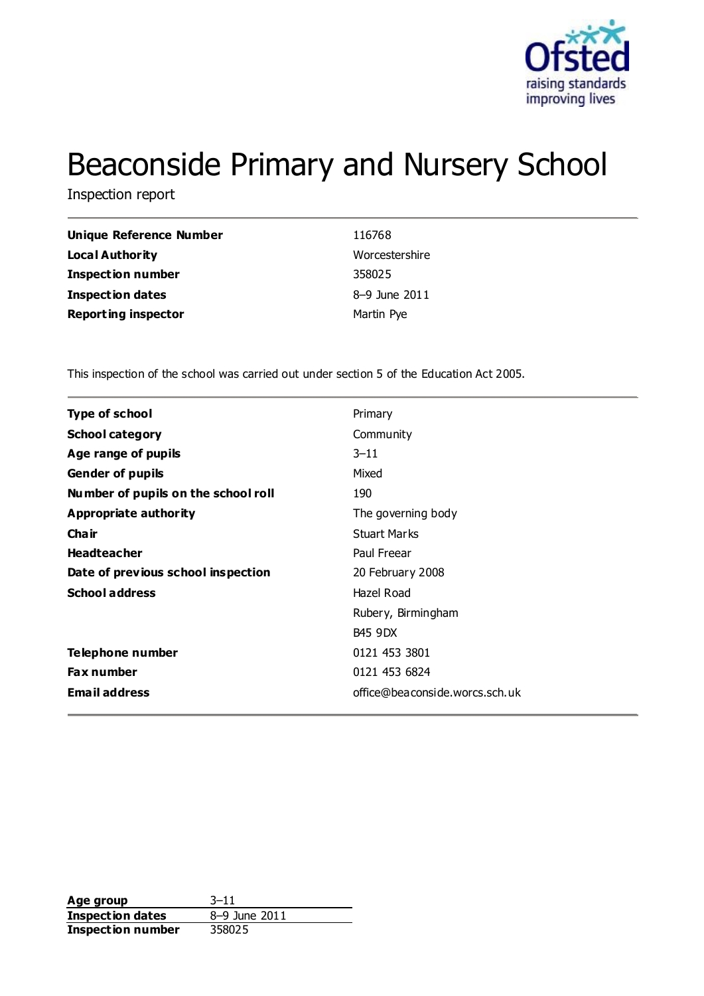

# Beaconside Primary and Nursery School

Inspection report

| Unique Reference Number    | 116768         |
|----------------------------|----------------|
| Local Authority            | Worcestershire |
| <b>Inspection number</b>   | 358025         |
| <b>Inspection dates</b>    | 8-9 June 2011  |
| <b>Reporting inspector</b> | Martin Pye     |

This inspection of the school was carried out under section 5 of the Education Act 2005.

| <b>Type of school</b>               | Primary                        |
|-------------------------------------|--------------------------------|
| <b>School category</b>              | Community                      |
| Age range of pupils                 | $3 - 11$                       |
| <b>Gender of pupils</b>             | Mixed                          |
| Number of pupils on the school roll | 190                            |
| Appropriate authority               | The governing body             |
| Cha ir                              | <b>Stuart Marks</b>            |
| <b>Headteacher</b>                  | Paul Freear                    |
| Date of previous school inspection  | 20 February 2008               |
| <b>School address</b>               | Hazel Road                     |
|                                     | Rubery, Birmingham             |
|                                     | <b>B45 9DX</b>                 |
| Telephone number                    | 0121 453 3801                  |
| <b>Fax number</b>                   | 0121 453 6824                  |
| <b>Email address</b>                | office@beaconside.worcs.sch.uk |
|                                     |                                |

**Age group** 3–11<br> **Inspection dates** 8–9 June 2011 **Inspection dates Inspection number** 358025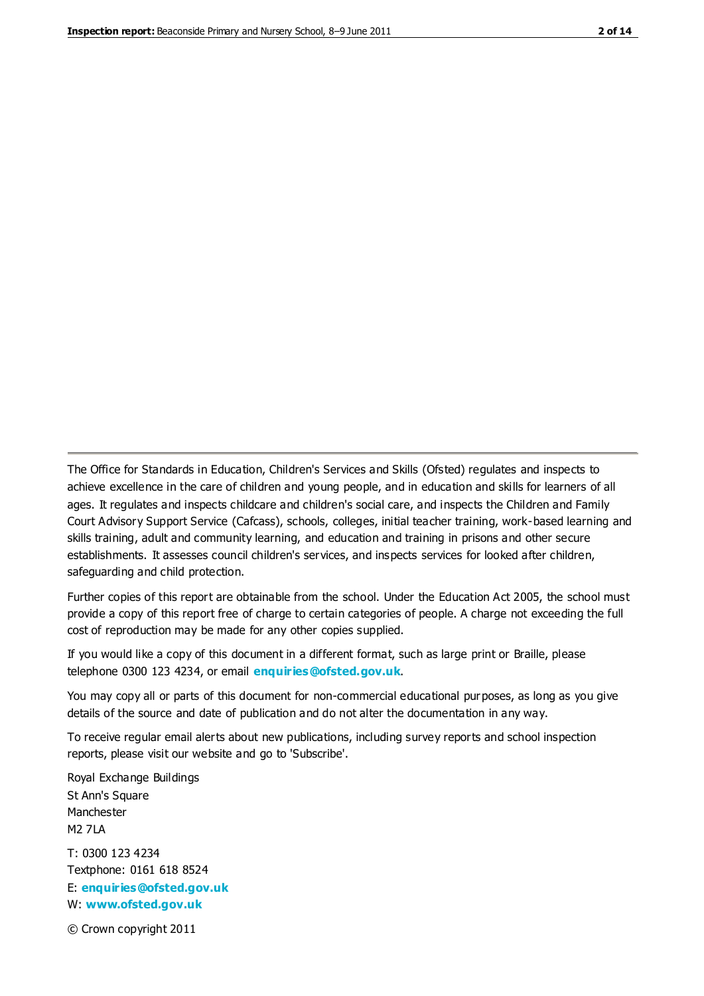The Office for Standards in Education, Children's Services and Skills (Ofsted) regulates and inspects to achieve excellence in the care of children and young people, and in education and skills for learners of all ages. It regulates and inspects childcare and children's social care, and inspects the Children and Family Court Advisory Support Service (Cafcass), schools, colleges, initial teacher training, work-based learning and skills training, adult and community learning, and education and training in prisons and other secure establishments. It assesses council children's services, and inspects services for looked after children, safeguarding and child protection.

Further copies of this report are obtainable from the school. Under the Education Act 2005, the school must provide a copy of this report free of charge to certain categories of people. A charge not exceeding the full cost of reproduction may be made for any other copies supplied.

If you would like a copy of this document in a different format, such as large print or Braille, please telephone 0300 123 4234, or email **[enquiries@ofsted.gov.uk](mailto:enquiries@ofsted.gov.uk)**.

You may copy all or parts of this document for non-commercial educational purposes, as long as you give details of the source and date of publication and do not alter the documentation in any way.

To receive regular email alerts about new publications, including survey reports and school inspection reports, please visit our website and go to 'Subscribe'.

Royal Exchange Buildings St Ann's Square Manchester M2 7LA T: 0300 123 4234 Textphone: 0161 618 8524 E: **[enquiries@ofsted.gov.uk](mailto:enquiries@ofsted.gov.uk)**

W: **[www.ofsted.gov.uk](http://www.ofsted.gov.uk/)**

© Crown copyright 2011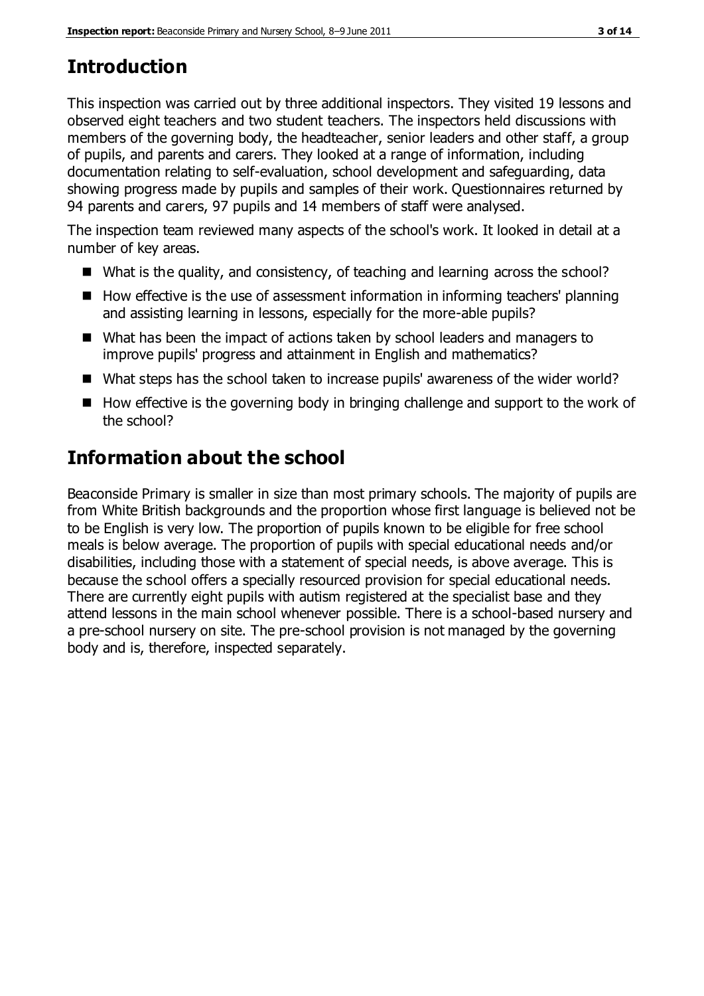# **Introduction**

This inspection was carried out by three additional inspectors. They visited 19 lessons and observed eight teachers and two student teachers. The inspectors held discussions with members of the governing body, the headteacher, senior leaders and other staff, a group of pupils, and parents and carers. They looked at a range of information, including documentation relating to self-evaluation, school development and safeguarding, data showing progress made by pupils and samples of their work. Questionnaires returned by 94 parents and carers, 97 pupils and 14 members of staff were analysed.

The inspection team reviewed many aspects of the school's work. It looked in detail at a number of key areas.

- What is the quality, and consistency, of teaching and learning across the school?
- How effective is the use of assessment information in informing teachers' planning and assisting learning in lessons, especially for the more-able pupils?
- What has been the impact of actions taken by school leaders and managers to improve pupils' progress and attainment in English and mathematics?
- What steps has the school taken to increase pupils' awareness of the wider world?
- $\blacksquare$  How effective is the governing body in bringing challenge and support to the work of the school?

# **Information about the school**

Beaconside Primary is smaller in size than most primary schools. The majority of pupils are from White British backgrounds and the proportion whose first language is believed not be to be English is very low. The proportion of pupils known to be eligible for free school meals is below average. The proportion of pupils with special educational needs and/or disabilities, including those with a statement of special needs, is above average. This is because the school offers a specially resourced provision for special educational needs. There are currently eight pupils with autism registered at the specialist base and they attend lessons in the main school whenever possible. There is a school-based nursery and a pre-school nursery on site. The pre-school provision is not managed by the governing body and is, therefore, inspected separately.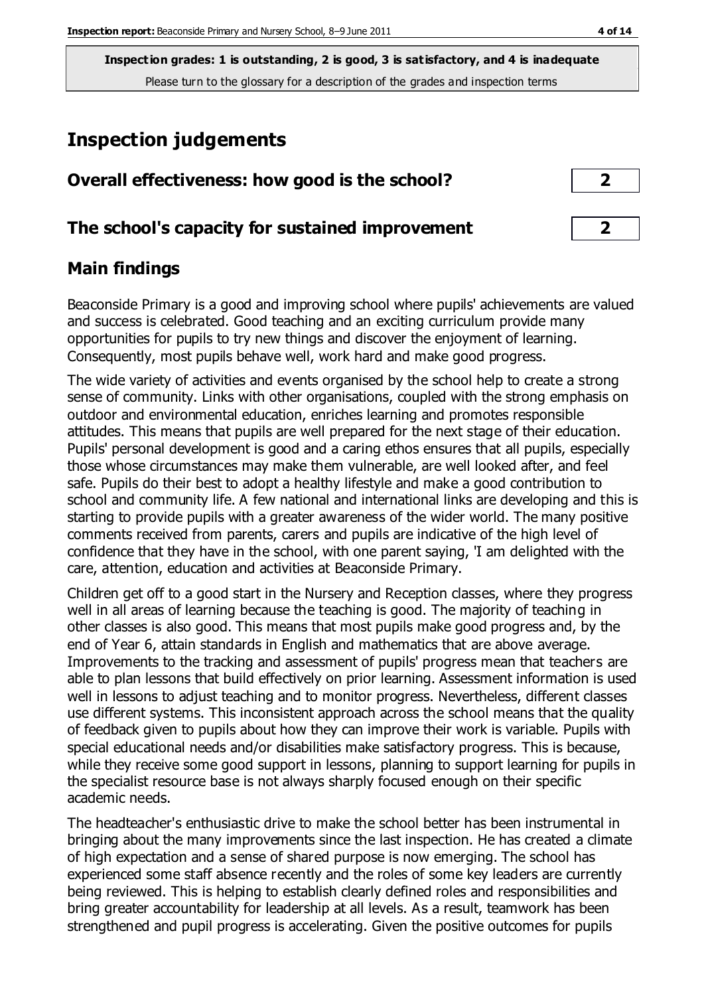**Inspection grades: 1 is outstanding, 2 is good, 3 is satisfactory, and 4 is inadequate** Please turn to the glossary for a description of the grades and inspection terms

# **Inspection judgements**

| Overall effectiveness: how good is the school?  |  |
|-------------------------------------------------|--|
| The school's capacity for sustained improvement |  |

## **Main findings**

Beaconside Primary is a good and improving school where pupils' achievements are valued and success is celebrated. Good teaching and an exciting curriculum provide many opportunities for pupils to try new things and discover the enjoyment of learning. Consequently, most pupils behave well, work hard and make good progress.

The wide variety of activities and events organised by the school help to create a strong sense of community. Links with other organisations, coupled with the strong emphasis on outdoor and environmental education, enriches learning and promotes responsible attitudes. This means that pupils are well prepared for the next stage of their education. Pupils' personal development is good and a caring ethos ensures that all pupils, especially those whose circumstances may make them vulnerable, are well looked after, and feel safe. Pupils do their best to adopt a healthy lifestyle and make a good contribution to school and community life. A few national and international links are developing and this is starting to provide pupils with a greater awareness of the wider world. The many positive comments received from parents, carers and pupils are indicative of the high level of confidence that they have in the school, with one parent saying, 'I am delighted with the care, attention, education and activities at Beaconside Primary.

Children get off to a good start in the Nursery and Reception classes, where they progress well in all areas of learning because the teaching is good. The majority of teaching in other classes is also good. This means that most pupils make good progress and, by the end of Year 6, attain standards in English and mathematics that are above average. Improvements to the tracking and assessment of pupils' progress mean that teachers are able to plan lessons that build effectively on prior learning. Assessment information is used well in lessons to adjust teaching and to monitor progress. Nevertheless, different classes use different systems. This inconsistent approach across the school means that the quality of feedback given to pupils about how they can improve their work is variable. Pupils with special educational needs and/or disabilities make satisfactory progress. This is because, while they receive some good support in lessons, planning to support learning for pupils in the specialist resource base is not always sharply focused enough on their specific academic needs.

The headteacher's enthusiastic drive to make the school better has been instrumental in bringing about the many improvements since the last inspection. He has created a climate of high expectation and a sense of shared purpose is now emerging. The school has experienced some staff absence recently and the roles of some key leaders are currently being reviewed. This is helping to establish clearly defined roles and responsibilities and bring greater accountability for leadership at all levels. As a result, teamwork has been strengthened and pupil progress is accelerating. Given the positive outcomes for pupils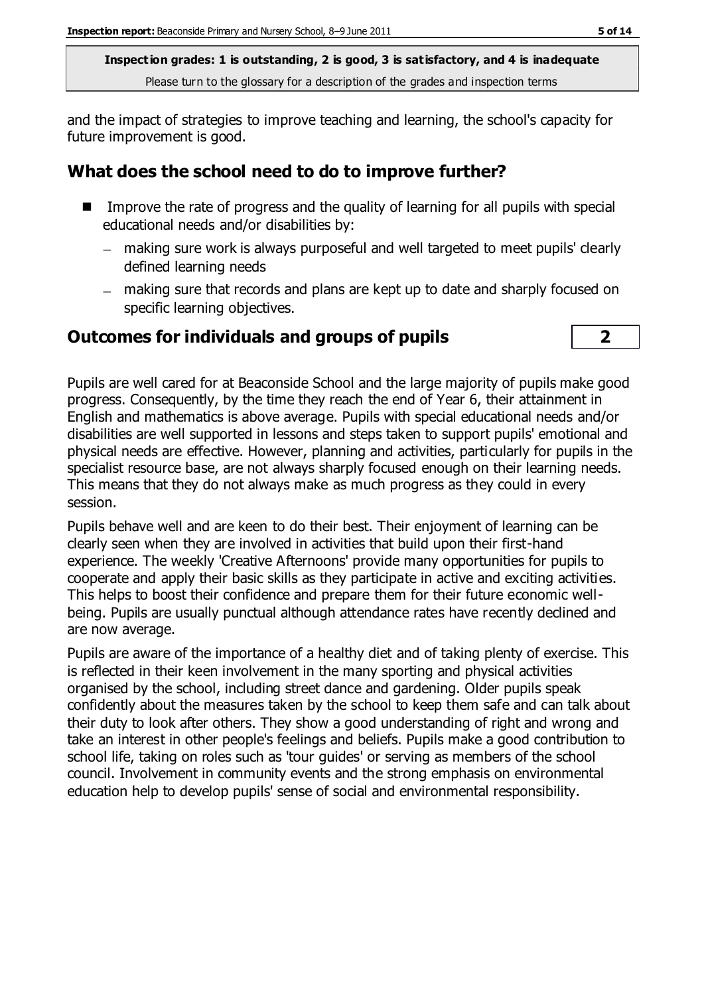**Inspection grades: 1 is outstanding, 2 is good, 3 is satisfactory, and 4 is inadequate** Please turn to the glossary for a description of the grades and inspection terms

and the impact of strategies to improve teaching and learning, the school's capacity for future improvement is good.

## **What does the school need to do to improve further?**

- Improve the rate of progress and the quality of learning for all pupils with special educational needs and/or disabilities by:
	- making sure work is always purposeful and well targeted to meet pupils' clearly defined learning needs
	- making sure that records and plans are kept up to date and sharply focused on specific learning objectives.

#### **Outcomes for individuals and groups of pupils 2**



Pupils are well cared for at Beaconside School and the large majority of pupils make good progress. Consequently, by the time they reach the end of Year 6, their attainment in English and mathematics is above average. Pupils with special educational needs and/or disabilities are well supported in lessons and steps taken to support pupils' emotional and physical needs are effective. However, planning and activities, particularly for pupils in the specialist resource base, are not always sharply focused enough on their learning needs. This means that they do not always make as much progress as they could in every session.

Pupils behave well and are keen to do their best. Their enjoyment of learning can be clearly seen when they are involved in activities that build upon their first-hand experience. The weekly 'Creative Afternoons' provide many opportunities for pupils to cooperate and apply their basic skills as they participate in active and exciting activities. This helps to boost their confidence and prepare them for their future economic wellbeing. Pupils are usually punctual although attendance rates have recently declined and are now average.

Pupils are aware of the importance of a healthy diet and of taking plenty of exercise. This is reflected in their keen involvement in the many sporting and physical activities organised by the school, including street dance and gardening. Older pupils speak confidently about the measures taken by the school to keep them safe and can talk about their duty to look after others. They show a good understanding of right and wrong and take an interest in other people's feelings and beliefs. Pupils make a good contribution to school life, taking on roles such as 'tour guides' or serving as members of the school council. Involvement in community events and the strong emphasis on environmental education help to develop pupils' sense of social and environmental responsibility.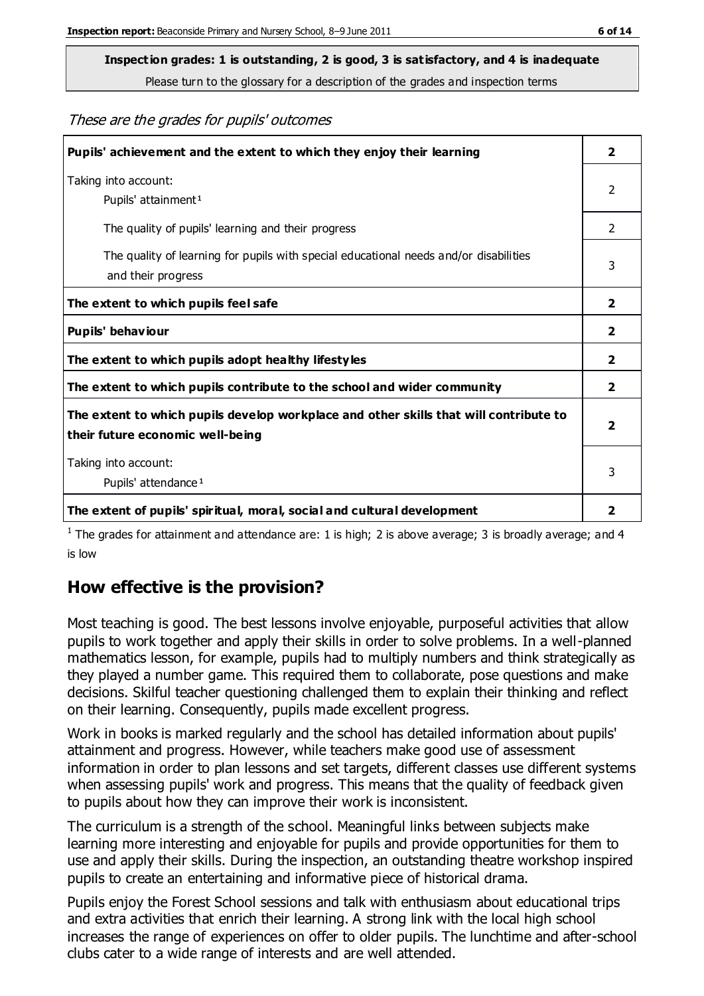**Inspection grades: 1 is outstanding, 2 is good, 3 is satisfactory, and 4 is inadequate**

Please turn to the glossary for a description of the grades and inspection terms

These are the grades for pupils' outcomes

| Pupils' achievement and the extent to which they enjoy their learning                                                     | $\overline{2}$          |
|---------------------------------------------------------------------------------------------------------------------------|-------------------------|
| Taking into account:<br>Pupils' attainment <sup>1</sup>                                                                   | 2                       |
| The quality of pupils' learning and their progress                                                                        | $\mathfrak{D}$          |
| The quality of learning for pupils with special educational needs and/or disabilities<br>and their progress               | 3                       |
| The extent to which pupils feel safe                                                                                      | $\overline{\mathbf{2}}$ |
| Pupils' behaviour                                                                                                         | $\overline{\mathbf{2}}$ |
| The extent to which pupils adopt healthy lifestyles                                                                       | 2                       |
| The extent to which pupils contribute to the school and wider community                                                   | $\overline{\mathbf{2}}$ |
| The extent to which pupils develop workplace and other skills that will contribute to<br>their future economic well-being | $\mathbf{2}$            |
| Taking into account:<br>Pupils' attendance <sup>1</sup>                                                                   | 3                       |
| The extent of pupils' spiritual, moral, social and cultural development                                                   | $\overline{\mathbf{2}}$ |

<sup>1</sup> The grades for attainment and attendance are: 1 is high; 2 is above average; 3 is broadly average; and 4 is low

## **How effective is the provision?**

Most teaching is good. The best lessons involve enjoyable, purposeful activities that allow pupils to work together and apply their skills in order to solve problems. In a well-planned mathematics lesson, for example, pupils had to multiply numbers and think strategically as they played a number game. This required them to collaborate, pose questions and make decisions. Skilful teacher questioning challenged them to explain their thinking and reflect on their learning. Consequently, pupils made excellent progress.

Work in books is marked regularly and the school has detailed information about pupils' attainment and progress. However, while teachers make good use of assessment information in order to plan lessons and set targets, different classes use different systems when assessing pupils' work and progress. This means that the quality of feedback given to pupils about how they can improve their work is inconsistent.

The curriculum is a strength of the school. Meaningful links between subjects make learning more interesting and enjoyable for pupils and provide opportunities for them to use and apply their skills. During the inspection, an outstanding theatre workshop inspired pupils to create an entertaining and informative piece of historical drama.

Pupils enjoy the Forest School sessions and talk with enthusiasm about educational trips and extra activities that enrich their learning. A strong link with the local high school increases the range of experiences on offer to older pupils. The lunchtime and after-school clubs cater to a wide range of interests and are well attended.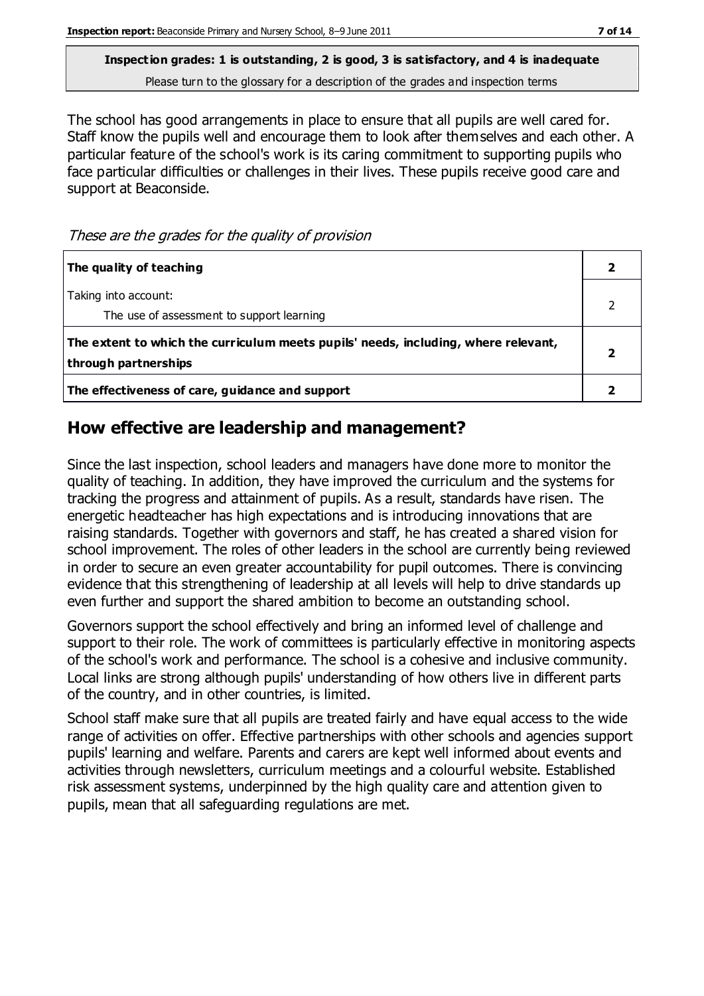**Inspection grades: 1 is outstanding, 2 is good, 3 is satisfactory, and 4 is inadequate** Please turn to the glossary for a description of the grades and inspection terms

The school has good arrangements in place to ensure that all pupils are well cared for. Staff know the pupils well and encourage them to look after themselves and each other. A particular feature of the school's work is its caring commitment to supporting pupils who face particular difficulties or challenges in their lives. These pupils receive good care and support at Beaconside.

These are the grades for the quality of provision

| The quality of teaching                                                                                    |  |
|------------------------------------------------------------------------------------------------------------|--|
| Taking into account:<br>The use of assessment to support learning                                          |  |
| The extent to which the curriculum meets pupils' needs, including, where relevant,<br>through partnerships |  |
| The effectiveness of care, guidance and support                                                            |  |

#### **How effective are leadership and management?**

Since the last inspection, school leaders and managers have done more to monitor the quality of teaching. In addition, they have improved the curriculum and the systems for tracking the progress and attainment of pupils. As a result, standards have risen. The energetic headteacher has high expectations and is introducing innovations that are raising standards. Together with governors and staff, he has created a shared vision for school improvement. The roles of other leaders in the school are currently being reviewed in order to secure an even greater accountability for pupil outcomes. There is convincing evidence that this strengthening of leadership at all levels will help to drive standards up even further and support the shared ambition to become an outstanding school.

Governors support the school effectively and bring an informed level of challenge and support to their role. The work of committees is particularly effective in monitoring aspects of the school's work and performance. The school is a cohesive and inclusive community. Local links are strong although pupils' understanding of how others live in different parts of the country, and in other countries, is limited.

School staff make sure that all pupils are treated fairly and have equal access to the wide range of activities on offer. Effective partnerships with other schools and agencies support pupils' learning and welfare. Parents and carers are kept well informed about events and activities through newsletters, curriculum meetings and a colourful website. Established risk assessment systems, underpinned by the high quality care and attention given to pupils, mean that all safeguarding regulations are met.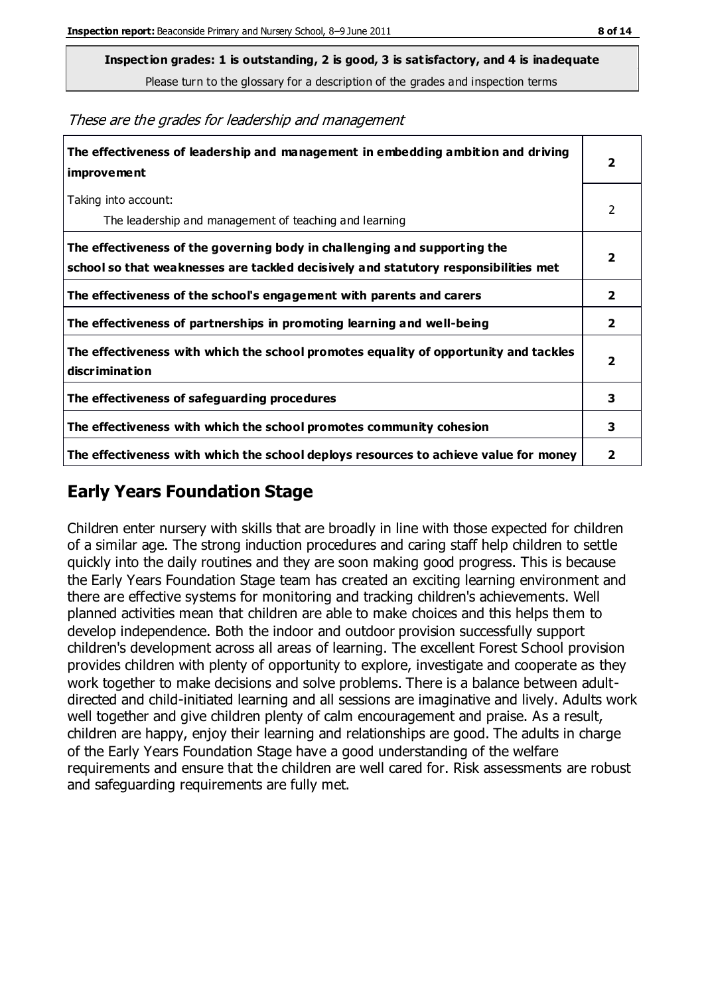**Inspection grades: 1 is outstanding, 2 is good, 3 is satisfactory, and 4 is inadequate**

Please turn to the glossary for a description of the grades and inspection terms

**The effectiveness of leadership and management in embedding ambition and driving improvement 2** Taking into account: The leadership and management of teaching and learning 2 **The effectiveness of the governing body in challenging and supporting the school so that weaknesses are tackled decisively and statutory responsibilities met 2 The effectiveness of the school's engagement with parents and carers 2 The effectiveness of partnerships in promoting learning and well-being 2 The effectiveness with which the school promotes equality of opportunity and tackles discrimination 2 The effectiveness of safeguarding procedures 3 The effectiveness with which the school promotes community cohesion 3 The effectiveness with which the school deploys resources to achieve value for money 2**

These are the grades for leadership and management

## **Early Years Foundation Stage**

Children enter nursery with skills that are broadly in line with those expected for children of a similar age. The strong induction procedures and caring staff help children to settle quickly into the daily routines and they are soon making good progress. This is because the Early Years Foundation Stage team has created an exciting learning environment and there are effective systems for monitoring and tracking children's achievements. Well planned activities mean that children are able to make choices and this helps them to develop independence. Both the indoor and outdoor provision successfully support children's development across all areas of learning. The excellent Forest School provision provides children with plenty of opportunity to explore, investigate and cooperate as they work together to make decisions and solve problems. There is a balance between adultdirected and child-initiated learning and all sessions are imaginative and lively. Adults work well together and give children plenty of calm encouragement and praise. As a result, children are happy, enjoy their learning and relationships are good. The adults in charge of the Early Years Foundation Stage have a good understanding of the welfare requirements and ensure that the children are well cared for. Risk assessments are robust and safeguarding requirements are fully met.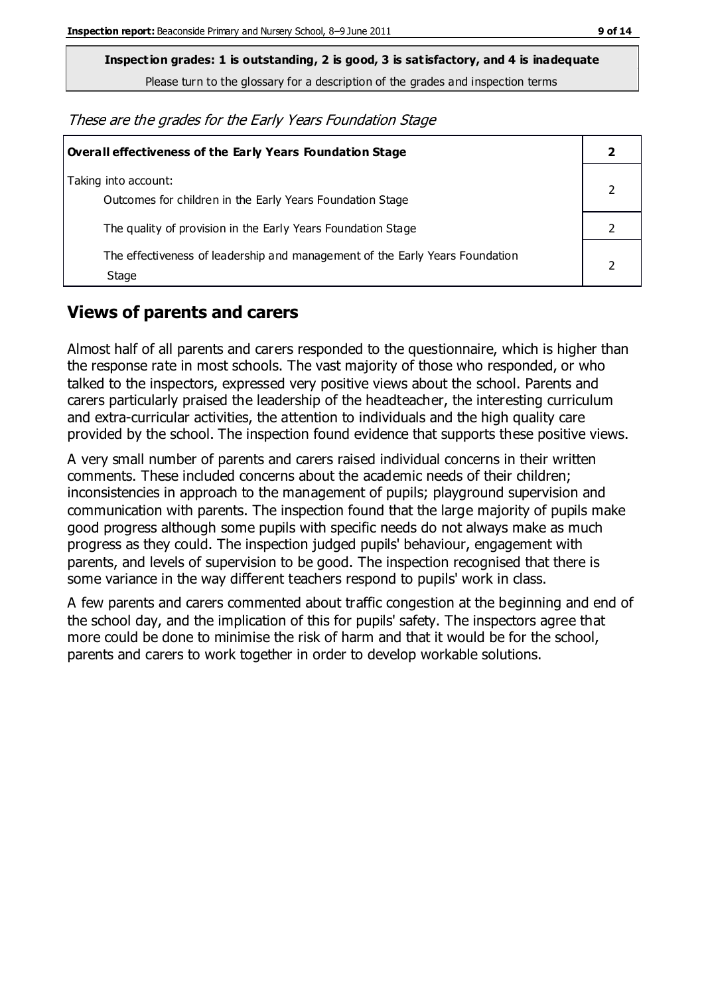**Inspection grades: 1 is outstanding, 2 is good, 3 is satisfactory, and 4 is inadequate**

Please turn to the glossary for a description of the grades and inspection terms

These are the grades for the Early Years Foundation Stage

| Overall effectiveness of the Early Years Foundation Stage                             |  |  |
|---------------------------------------------------------------------------------------|--|--|
| Taking into account:<br>Outcomes for children in the Early Years Foundation Stage     |  |  |
| The quality of provision in the Early Years Foundation Stage                          |  |  |
| The effectiveness of leadership and management of the Early Years Foundation<br>Stage |  |  |

## **Views of parents and carers**

Almost half of all parents and carers responded to the questionnaire, which is higher than the response rate in most schools. The vast majority of those who responded, or who talked to the inspectors, expressed very positive views about the school. Parents and carers particularly praised the leadership of the headteacher, the interesting curriculum and extra-curricular activities, the attention to individuals and the high quality care provided by the school. The inspection found evidence that supports these positive views.

A very small number of parents and carers raised individual concerns in their written comments. These included concerns about the academic needs of their children; inconsistencies in approach to the management of pupils; playground supervision and communication with parents. The inspection found that the large majority of pupils make good progress although some pupils with specific needs do not always make as much progress as they could. The inspection judged pupils' behaviour, engagement with parents, and levels of supervision to be good. The inspection recognised that there is some variance in the way different teachers respond to pupils' work in class.

A few parents and carers commented about traffic congestion at the beginning and end of the school day, and the implication of this for pupils' safety. The inspectors agree that more could be done to minimise the risk of harm and that it would be for the school, parents and carers to work together in order to develop workable solutions.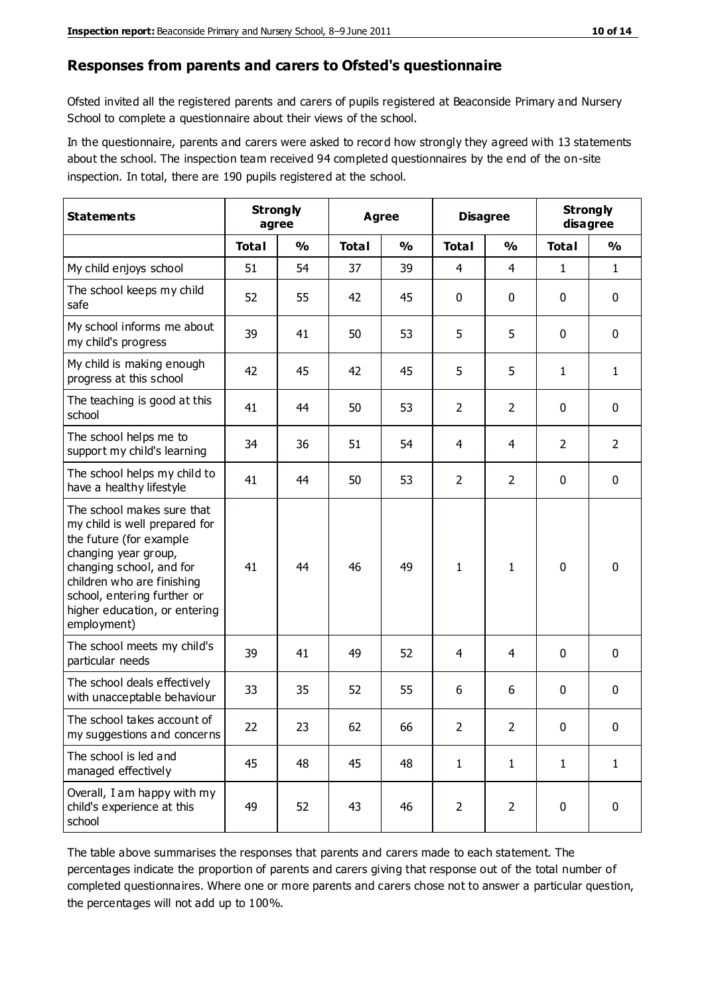#### **Responses from parents and carers to Ofsted's questionnaire**

Ofsted invited all the registered parents and carers of pupils registered at Beaconside Primary and Nursery School to complete a questionnaire about their views of the school.

In the questionnaire, parents and carers were asked to record how strongly they agreed with 13 statements about the school. The inspection team received 94 completed questionnaires by the end of the on-site inspection. In total, there are 190 pupils registered at the school.

| <b>Statements</b>                                                                                                                                                                                                                                       | <b>Strongly</b><br>agree |               | Agree        |               | <b>Disagree</b> |                | <b>Strongly</b><br>disagree |                |
|---------------------------------------------------------------------------------------------------------------------------------------------------------------------------------------------------------------------------------------------------------|--------------------------|---------------|--------------|---------------|-----------------|----------------|-----------------------------|----------------|
|                                                                                                                                                                                                                                                         | <b>Total</b>             | $\frac{0}{0}$ | <b>Total</b> | $\frac{0}{0}$ | <b>Total</b>    | $\frac{0}{0}$  | <b>Total</b>                | $\frac{0}{0}$  |
| My child enjoys school                                                                                                                                                                                                                                  | 51                       | 54            | 37           | 39            | 4               | $\overline{4}$ | 1                           | $\mathbf{1}$   |
| The school keeps my child<br>safe                                                                                                                                                                                                                       | 52                       | 55            | 42           | 45            | 0               | $\mathbf 0$    | 0                           | $\pmb{0}$      |
| My school informs me about<br>my child's progress                                                                                                                                                                                                       | 39                       | 41            | 50           | 53            | 5               | 5              | $\mathbf{0}$                | $\mathbf 0$    |
| My child is making enough<br>progress at this school                                                                                                                                                                                                    | 42                       | 45            | 42           | 45            | 5               | 5              | 1                           | $\mathbf{1}$   |
| The teaching is good at this<br>school                                                                                                                                                                                                                  | 41                       | 44            | 50           | 53            | $\overline{2}$  | $\overline{2}$ | 0                           | $\mathbf 0$    |
| The school helps me to<br>support my child's learning                                                                                                                                                                                                   | 34                       | 36            | 51           | 54            | 4               | 4              | $\overline{2}$              | $\overline{2}$ |
| The school helps my child to<br>have a healthy lifestyle                                                                                                                                                                                                | 41                       | 44            | 50           | 53            | $\overline{2}$  | $\overline{2}$ | 0                           | $\mathbf 0$    |
| The school makes sure that<br>my child is well prepared for<br>the future (for example<br>changing year group,<br>changing school, and for<br>children who are finishing<br>school, entering further or<br>higher education, or entering<br>employment) | 41                       | 44            | 46           | 49            | $\mathbf{1}$    | 1              | $\mathbf 0$                 | $\mathbf 0$    |
| The school meets my child's<br>particular needs                                                                                                                                                                                                         | 39                       | 41            | 49           | 52            | 4               | 4              | $\mathbf{0}$                | $\mathbf 0$    |
| The school deals effectively<br>with unacceptable behaviour                                                                                                                                                                                             | 33                       | 35            | 52           | 55            | 6               | 6              | 0                           | 0              |
| The school takes account of<br>my suggestions and concerns                                                                                                                                                                                              | 22                       | 23            | 62           | 66            | $\overline{2}$  | $\overline{2}$ | 0                           | 0              |
| The school is led and<br>managed effectively                                                                                                                                                                                                            | 45                       | 48            | 45           | 48            | $\mathbf{1}$    | $\mathbf{1}$   | $\mathbf{1}$                | $\mathbf{1}$   |
| Overall, I am happy with my<br>child's experience at this<br>school                                                                                                                                                                                     | 49                       | 52            | 43           | 46            | $\overline{2}$  | $\overline{2}$ | 0                           | $\pmb{0}$      |

The table above summarises the responses that parents and carers made to each statement. The percentages indicate the proportion of parents and carers giving that response out of the total number of completed questionnaires. Where one or more parents and carers chose not to answer a particular question, the percentages will not add up to 100%.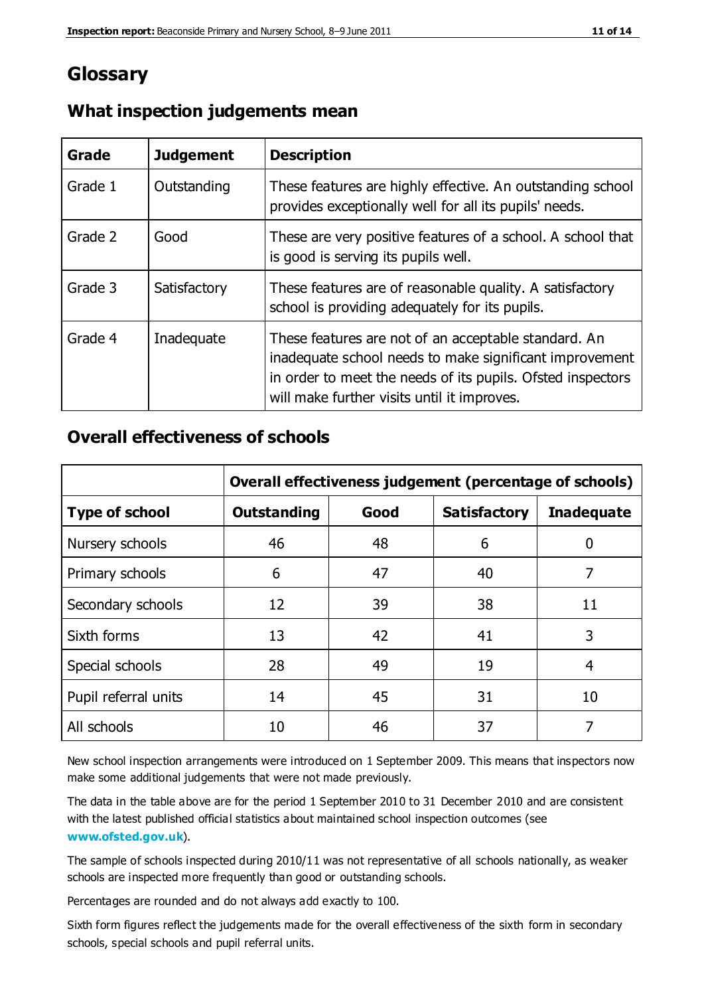## **Glossary**

| Grade   | <b>Judgement</b> | <b>Description</b>                                                                                                                                                                                                            |
|---------|------------------|-------------------------------------------------------------------------------------------------------------------------------------------------------------------------------------------------------------------------------|
| Grade 1 | Outstanding      | These features are highly effective. An outstanding school<br>provides exceptionally well for all its pupils' needs.                                                                                                          |
| Grade 2 | Good             | These are very positive features of a school. A school that<br>is good is serving its pupils well.                                                                                                                            |
| Grade 3 | Satisfactory     | These features are of reasonable quality. A satisfactory<br>school is providing adequately for its pupils.                                                                                                                    |
| Grade 4 | Inadequate       | These features are not of an acceptable standard. An<br>inadequate school needs to make significant improvement<br>in order to meet the needs of its pupils. Ofsted inspectors<br>will make further visits until it improves. |

#### **What inspection judgements mean**

#### **Overall effectiveness of schools**

|                       | Overall effectiveness judgement (percentage of schools) |      |                     |                   |
|-----------------------|---------------------------------------------------------|------|---------------------|-------------------|
| <b>Type of school</b> | <b>Outstanding</b>                                      | Good | <b>Satisfactory</b> | <b>Inadequate</b> |
| Nursery schools       | 46                                                      | 48   | 6                   |                   |
| Primary schools       | 6                                                       | 47   | 40                  | 7                 |
| Secondary schools     | 12                                                      | 39   | 38                  | 11                |
| Sixth forms           | 13                                                      | 42   | 41                  | 3                 |
| Special schools       | 28                                                      | 49   | 19                  | 4                 |
| Pupil referral units  | 14                                                      | 45   | 31                  | 10                |
| All schools           | 10                                                      | 46   | 37                  |                   |

New school inspection arrangements were introduced on 1 September 2009. This means that inspectors now make some additional judgements that were not made previously.

The data in the table above are for the period 1 September 2010 to 31 December 2010 and are consistent with the latest published official statistics about maintained school inspection outcomes (see **[www.ofsted.gov.uk](http://www.ofsted.gov.uk/)**).

The sample of schools inspected during 2010/11 was not representative of all schools nationally, as weaker schools are inspected more frequently than good or outstanding schools.

Percentages are rounded and do not always add exactly to 100.

Sixth form figures reflect the judgements made for the overall effectiveness of the sixth form in secondary schools, special schools and pupil referral units.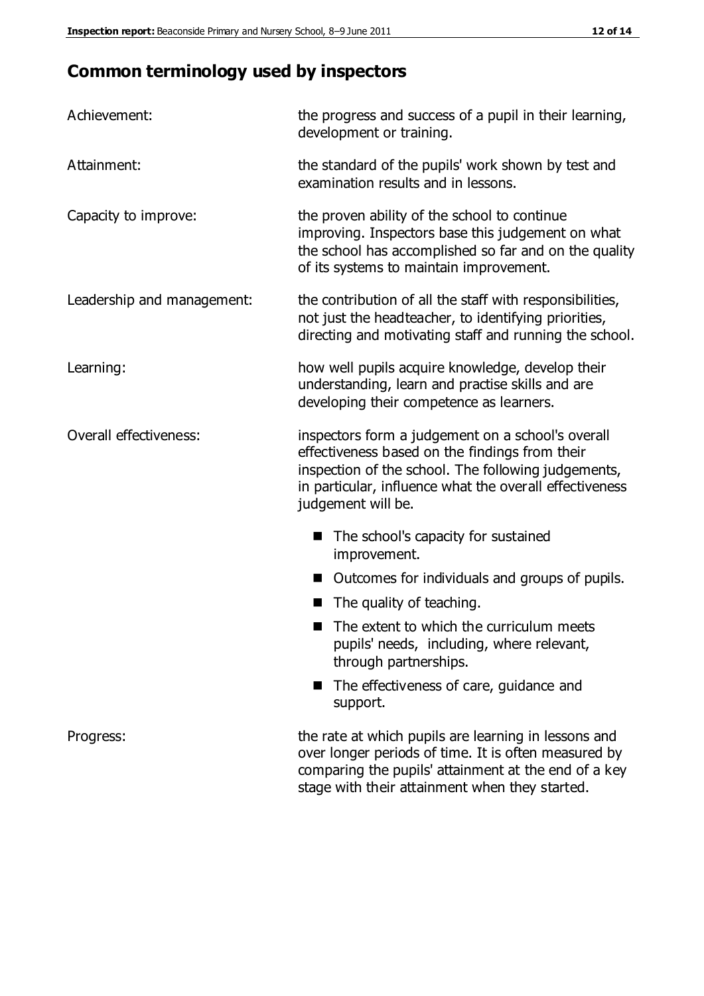# **Common terminology used by inspectors**

| Achievement:               | the progress and success of a pupil in their learning,<br>development or training.                                                                                                                                                          |  |  |
|----------------------------|---------------------------------------------------------------------------------------------------------------------------------------------------------------------------------------------------------------------------------------------|--|--|
| Attainment:                | the standard of the pupils' work shown by test and<br>examination results and in lessons.                                                                                                                                                   |  |  |
| Capacity to improve:       | the proven ability of the school to continue<br>improving. Inspectors base this judgement on what<br>the school has accomplished so far and on the quality<br>of its systems to maintain improvement.                                       |  |  |
| Leadership and management: | the contribution of all the staff with responsibilities,<br>not just the headteacher, to identifying priorities,<br>directing and motivating staff and running the school.                                                                  |  |  |
| Learning:                  | how well pupils acquire knowledge, develop their<br>understanding, learn and practise skills and are<br>developing their competence as learners.                                                                                            |  |  |
| Overall effectiveness:     | inspectors form a judgement on a school's overall<br>effectiveness based on the findings from their<br>inspection of the school. The following judgements,<br>in particular, influence what the overall effectiveness<br>judgement will be. |  |  |
|                            | The school's capacity for sustained<br>improvement.                                                                                                                                                                                         |  |  |
|                            | Outcomes for individuals and groups of pupils.                                                                                                                                                                                              |  |  |
|                            | The quality of teaching.                                                                                                                                                                                                                    |  |  |
|                            | The extent to which the curriculum meets<br>pupils' needs, including, where relevant,<br>through partnerships.                                                                                                                              |  |  |
|                            | The effectiveness of care, guidance and<br>support.                                                                                                                                                                                         |  |  |
| Progress:                  | the rate at which pupils are learning in lessons and<br>over longer periods of time. It is often measured by<br>comparing the pupils' attainment at the end of a key                                                                        |  |  |

stage with their attainment when they started.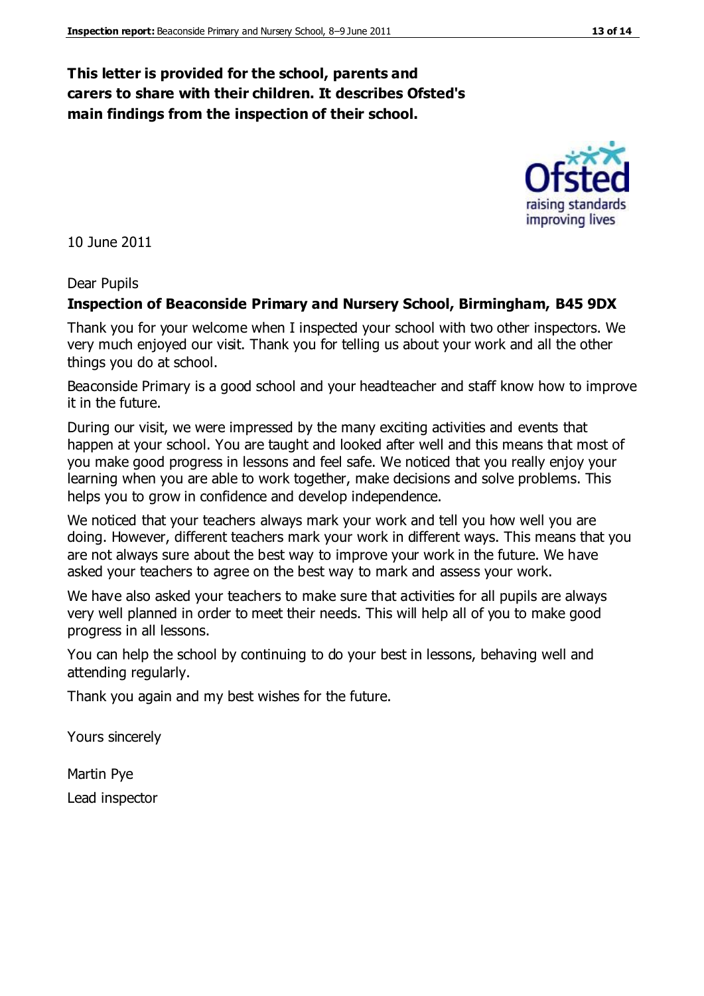#### **This letter is provided for the school, parents and carers to share with their children. It describes Ofsted's main findings from the inspection of their school.**

10 June 2011

#### Dear Pupils

#### **Inspection of Beaconside Primary and Nursery School, Birmingham, B45 9DX**

Thank you for your welcome when I inspected your school with two other inspectors. We very much enjoyed our visit. Thank you for telling us about your work and all the other things you do at school.

Beaconside Primary is a good school and your headteacher and staff know how to improve it in the future.

During our visit, we were impressed by the many exciting activities and events that happen at your school. You are taught and looked after well and this means that most of you make good progress in lessons and feel safe. We noticed that you really enjoy your learning when you are able to work together, make decisions and solve problems. This helps you to grow in confidence and develop independence.

We noticed that your teachers always mark your work and tell you how well you are doing. However, different teachers mark your work in different ways. This means that you are not always sure about the best way to improve your work in the future. We have asked your teachers to agree on the best way to mark and assess your work.

We have also asked your teachers to make sure that activities for all pupils are always very well planned in order to meet their needs. This will help all of you to make good progress in all lessons.

You can help the school by continuing to do your best in lessons, behaving well and attending regularly.

Thank you again and my best wishes for the future.

Yours sincerely

Martin Pye Lead inspector